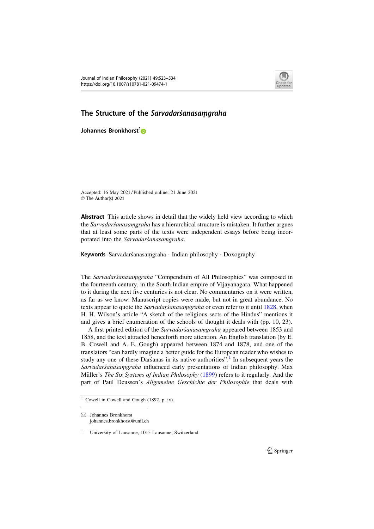

## The Structure of the Sarvadarsanasamgraha

Johannes Bronkhorst<sup>1</sup>

Accepted: 16 May 2021 / Published online: 21 June 2021 © The Author(s) 2021

**Abstract** This article shows in detail that the widely held view according to which the Sarvadarśanasaṃgraha has a hierarchical structure is mistaken. It further argues that at least some parts of the texts were independent essays before being incorporated into the Sarvadarśanasaṃgraha.

Keywords Sarvadarśanasamgraha · Indian philosophy · Doxography

The Sarvadarśanasaṃgraha "Compendium of All Philosophies" was composed in the fourteenth century, in the South Indian empire of Vijayanagara. What happened to it during the next five centuries is not clear. No commentaries on it were written, as far as we know. Manuscript copies were made, but not in great abundance. No texts appear to quote the *Sarvadarsanasamgraha* or even refer to it until 1828, when H. H. Wilson's article "A sketch of the religious sects of the Hindus" mentions it and gives a brief enumeration of the schools of thought it deals with (pp. 10, 23).

A first printed edition of the Sarvadarśanasaṃgraha appeared between 1853 and 1858, and the text attracted henceforth more attention. An English translation (by E. B. Cowell and A. E. Gough) appeared between 1874 and 1878, and one of the translators "can hardly imagine a better guide for the European reader who wishes to study any one of these Dars´anas in its native authorities".<sup>1</sup> In subsequent years the Sarvadarśanasaṃgraha influenced early presentations of Indian philosophy. Max Müller's The Six Systems of Indian Philosophy (1899) refers to it regularly. And the part of Paul Deussen's Allgemeine Geschichte der Philosophie that deals with

 $1$  Cowell in Cowell and Gough (1892, p. ix).

 $\boxtimes$  Johannes Bronkhorst johannes.bronkhorst@unil.ch

<sup>&</sup>lt;sup>1</sup> University of Lausanne, 1015 Lausanne, Switzerland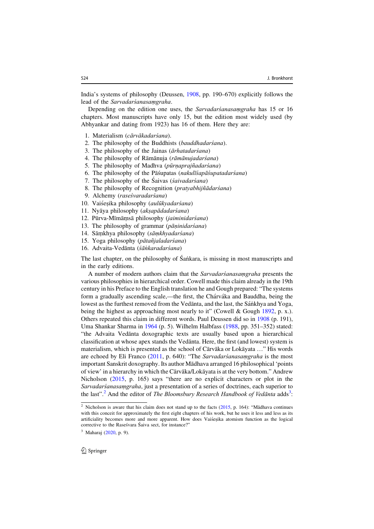India's systems of philosophy (Deussen, 1908, pp. 190–670) explicitly follows the lead of the Sarvadarśanasaṃgraha.

Depending on the edition one uses, the *Sarvadarsanasamgraha* has 15 or 16 chapters. Most manuscripts have only 15, but the edition most widely used (by Abhyankar and dating from 1923) has 16 of them. Here they are:

- 1. Materialism (cārvākadarśana).
- 2. The philosophy of the Buddhists (bauddhadarśana).
- 3. The philosophy of the Jainas (ārhatadarśana)
- 4. The philosophy of Rāmānuja (rāmānujadarśana)
- 5. The philosophy of Madhva (pūrnaprajñadarśana)
- 6. The philosophy of the Pāśupatas (nakulīśapāśupatadarśana)
- 7. The philosophy of the Saivas (śaivadarśana)
- 8. The philosophy of Recognition (pratyabhijñādarśana)
- 9. Alchemy (raseśvaradarśana)
- 10. Vaiśeșika philosophy (aulūkyadarśana)
- 11. Nyāya philosophy (aksapādadarśana)
- 12. Pūrva-Mīmāmsā philosophy (jaiminidarśana)
- 13. The philosophy of grammar (pāṇinidarśana)
- 14. Sāṃkhya philosophy (sāṃkhyadarśana)
- 15. Yoga philosophy (pātañjaladarśana)
- 16. Advaita-Vedānta (śānkaradarśana)

The last chapter, on the philosophy of Sankara, is missing in most manuscripts and in the early editions.

A number of modern authors claim that the Sarvadarśanasaṃgraha presents the various philosophies in hierarchical order. Cowell made this claim already in the 19th century in his Preface to the English translation he and Gough prepared: "The systems form a gradually ascending scale,—the first, the Chárváka and Bauddha, being the lowest as the furthest removed from the Vedanta, and the last, the Sánkhya and Yoga, being the highest as approaching most nearly to it" (Cowell & Gough 1892, p. x.). Others repeated this claim in different words. Paul Deussen did so in 1908 (p. 191), Uma Shankar Sharma in 1964 (p. 5). Wilhelm Halbfass (1988, pp. 351–352) stated: "the Advaita Vedanta doxographic texts are usually based upon a hierarchical classification at whose apex stands the Vedanta. Here, the first (and lowest) system is materialism, which is presented as the school of Cārvāka or Lokāvata ..." His words are echoed by Eli Franco (2011, p. 640): "The Sarvadarsanasamgraha is the most important Sanskrit doxography. Its author Mādhava arranged 16 philosophical 'points of view' in a hierarchy in which the Cārvāka/Lokāyata is at the very bottom." Andrew Nicholson (2015, p. 165) says "there are no explicit characters or plot in the Sarvadarśanasaṃgraha, just a presentation of a series of doctrines, each superior to the last".<sup>2</sup> And the editor of *The Bloomsbury Research Handbook of Vedānta* adds<sup>3</sup>:

<sup>&</sup>lt;sup>2</sup> Nicholson is aware that his claim does not stand up to the facts ( $2015$ , p. 164): "Mādhava continues with this conceit for approximately the first eight chapters of his work, but he uses it less and less as its artificiality becomes more and more apparent. How does Vaisesika atomism function as the logical corrective to the Rasesvara Saiva sect, for instance?"

 $3$  Maharaj (2020, p. 9).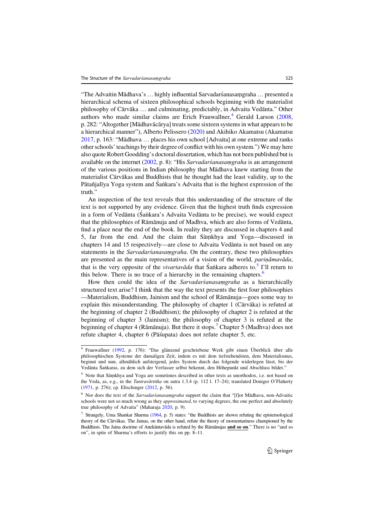"The Advaitin Mādhava's ... highly influential Sarvadarśanasaṃgraha ... presented a hierarchical schema of sixteen philosophical schools beginning with the materialist philosophy of Cārvāka ... and culminating, predictably, in Advaita Vedānta." Other authors who made similar claims are Erich Frauwallner, $4$  Gerald Larson (2008, p. 282: "Altogether [Mādhavācārya] treats some sixteen systems in what appears to be a hierarchical manner"), Alberto Pelissero (2020) and Akihiko Akamatsu (Akamatsu  $2017$ , p. 163: "Mādhava ... places his own school [Advaita] at one extreme and ranks other schools' teachings by their degree of conflict with his own system.") We may here also quote Robert Goodding's doctoral dissertation, which has not been published but is available on the internet (2002, p. 8): "His Sarvadarsanasamgraha is an arrangement of the various positions in Indian philosophy that Ma¯dhava knew starting from the materialist Cārvākas and Buddhists that he thought had the least validity, up to the Pātañjalīya Yoga system and Śaṅkara's Advaita that is the highest expression of the truth."

An inspection of the text reveals that this understanding of the structure of the text is not supported by any evidence. Given that the highest truth finds expression in a form of Vedanta (Saṅkara's Advaita Vedanta to be precise), we would expect that the philosophies of Rāmānuja and of Madhva, which are also forms of Vedānta, find a place near the end of the book. In reality they are discussed in chapters 4 and 5, far from the end. And the claim that Samkhya and Yoga—discussed in chapters 14 and 15 respectively—are close to Advaita Vedanta is not based on any statements in the *Sarvadarsanasamgraha*. On the contrary, these two philosophies are presented as the main representatives of a vision of the world, pariṇāmavāda, that is the very opposite of the *vivartavada* that Sañkara adheres to.<sup>5</sup> I'll return to this below. There is no trace of a hierarchy in the remaining chapters.<sup>6</sup>

How then could the idea of the Sarvadarśanasaṃgraha as a hierarchically structured text arise? I think that the way the text presents the first four philosophies —Materialism, Buddhism, Jainism and the school of Ramanuja—goes some way to explain this misunderstanding. The philosophy of chapter 1 (Cārvāka) is refuted at the beginning of chapter 2 (Buddhism); the philosophy of chapter 2 is refuted at the beginning of chapter 3 (Jainism); the philosophy of chapter 3 is refuted at the beginning of chapter 4 (Rāmānuja). But there it stops.<sup>7</sup> Chapter 5 (Madhva) does not refute chapter 4, chapter 6 (Pāśupata) does not refute chapter 5, etc.

Frauwallner (1992, p. 176): "Das glänzend geschriebene Werk gibt einen Überblick über alle philosophischen Systeme der damaligen Zeit, indem es mit dem tiefstehendsten, dem Materialismus, beginnt und nun, allmählich aufsteigend, jedes System durch das folgende widerlegen lässt, bis der Vedānta Śaṅkaras, zu dem sich der Verfasser selbst bekennt, den Höhepunkt und Abschluss bildet."

<sup>&</sup>lt;sup>5</sup> Note that Sāṃkhya and Yoga are sometimes described in other texts as unorthodox, i.e. not based on the Veda, as, e.g., in the Tantravārttika on sutra 1.3.4 (p. 112 l. 17–24); translated Doniger O'Flaherty (1971, p. 276); cp. Eltschinger (2012, p. 56).

 $6$  Nor does the text of the *Sarvadarśanasaṃgraha* support the claim that "[f]or Mādhava, non-Advaitic schools were not so much wrong as they *approximated*, to varying degrees, the one perfect and absolutely true philosophy of Advaita" (Maharaja 2020, p. 9).

<sup>7</sup> Strangely, Uma Shankar Sharma (1964, p. 5) states: "the Buddhists are shown refuting the epistemological theory of the Cārvākas. The Jainas, on the other hand, refute the theory of momentariness championed by the Buddhists. The Jaina doctrine of Anekāntavāda is refuted by the Rāmānujas and so on." There is no "and so on", in spite of Sharma's efforts to justify this on pp. 8–11.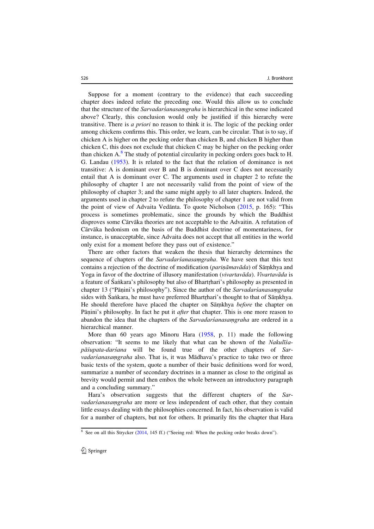Suppose for a moment (contrary to the evidence) that each succeeding chapter does indeed refute the preceding one. Would this allow us to conclude that the structure of the Sarvadarśanasaṃgraha is hierarchical in the sense indicated above? Clearly, this conclusion would only be justified if this hierarchy were transitive. There is a priori no reason to think it is. The logic of the pecking order among chickens confirms this. This order, we learn, can be circular. That is to say, if chicken A is higher on the pecking order than chicken B, and chicken B higher than chicken C, this does not exclude that chicken C may be higher on the pecking order than chicken  $A^8$ . The study of potential circularity in pecking orders goes back to H. G. Landau (1953). It is related to the fact that the relation of dominance is not transitive: A is dominant over B and B is dominant over C does not necessarily entail that A is dominant over C. The arguments used in chapter 2 to refute the philosophy of chapter 1 are not necessarily valid from the point of view of the philosophy of chapter 3; and the same might apply to all later chapters. Indeed, the arguments used in chapter 2 to refute the philosophy of chapter 1 are not valid from the point of view of Advaita Vedanta. To quote Nicholson  $(2015, p. 165)$ : "This process is sometimes problematic, since the grounds by which the Buddhist disproves some Cārvāka theories are not acceptable to the Advaitin. A refutation of Cārvāka hedonism on the basis of the Buddhist doctrine of momentariness, for instance, is unacceptable, since Advaita does not accept that all entities in the world only exist for a moment before they pass out of existence."

There are other factors that weaken the thesis that hierarchy determines the sequence of chapters of the Sarvadarsanasamgraha. We have seen that this text contains a rejection of the doctrine of modification (parinamavada) of Samkhya and Yoga in favor of the doctrine of illusory manifestation (vivartavāda). Vivartavāda is a feature of Sañkara's philosophy but also of Bhartrhari's philosophy as presented in chapter 13 ("Pāṇini's philosophy"). Since the author of the Sarvadarśanasamgraha sides with Sankara, he must have preferred Bhartrhari's thought to that of Sāṃkhya. He should therefore have placed the chapter on Sāṃkhya before the chapter on Pāṇini's philosophy. In fact he put it *after* that chapter. This is one more reason to **Example 1** abandon the idea that the chapters of the *Sarvadarśanasamgraha* are ordered in a hierarchical manner.

More than 60 years ago Minoru Hara (1958, p. 11) made the following observation: "It seems to me likely that what can be shown of the Nakulīśapāśupata-darśana will be found true of the other chapters of Sarvadarśanasamgraha also. That is, it was Mādhava's practice to take two or three basic texts of the system, quote a number of their basic definitions word for word, summarize a number of secondary doctrines in a manner as close to the original as brevity would permit and then embox the whole between an introductory paragraph and a concluding summary."

Hara's observation suggests that the different chapters of the Sarvadarśanasaṃgraha are more or less independent of each other, that they contain little essays dealing with the philosophies concerned. In fact, his observation is valid for a number of chapters, but not for others. It primarily fits the chapter that Hara

<sup>&</sup>lt;sup>8</sup> See on all this Strycker (2014, 145 ff.) ("Seeing red: When the pecking order breaks down").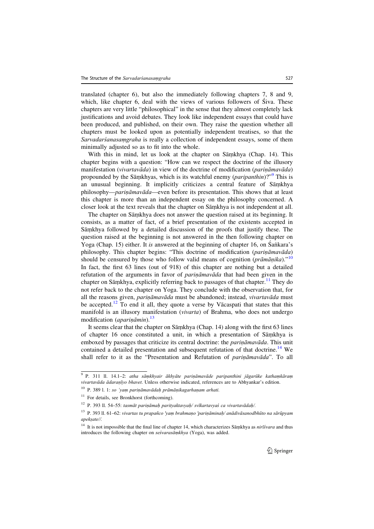translated (chapter 6), but also the immediately following chapters 7, 8 and 9, which, like chapter 6, deal with the views of various followers of Siva. These chapters are very little "philosophical" in the sense that they almost completely lack justifications and avoid debates. They look like independent essays that could have been produced, and published, on their own. They raise the question whether all chapters must be looked upon as potentially independent treatises, so that the Sarvadarśanasaṃgraha is really a collection of independent essays, some of them minimally adjusted so as to fit into the whole.

With this in mind, let us look at the chapter on Sāṃkhya (Chap. 14). This chapter begins with a question: "How can we respect the doctrine of the illusory manifestation (vivartavāda) in view of the doctrine of modification (parināmavāda) propounded by the Sāmkhyas, which is its watchful enemy (*paripanthin*)?"<sup>9</sup> This is an unusual beginning. It implicitly criticizes a central feature of Sāmkhya philosophy—*parināmavāda*—even before its presentation. This shows that at least this chapter is more than an independent essay on the philosophy concerned. A closer look at the text reveals that the chapter on Sāṃkhya is not independent at all.

The chapter on Sāṃkhya does not answer the question raised at its beginning. It consists, as a matter of fact, of a brief presentation of the existents accepted in Sāmkhya followed by a detailed discussion of the proofs that justify these. The question raised at the beginning is not answered in the then following chapter on Yoga (Chap. 15) either. It is answered at the beginning of chapter 16, on Sankara's philosophy. This chapter begins: "This doctrine of modification (parin $\bar{a}$ mav $\bar{a}$ da) should be censured by those who follow valid means of cognition (*prāmānika*).<sup>"10</sup> In fact, the first 63 lines (out of 918) of this chapter are nothing but a detailed refutation of the arguments in favor of *parināmavāda* that had been given in the chapter on Sāṃkhya, explicitly referring back to passages of that chapter.<sup>11</sup> They do not refer back to the chapter on Yoga. They conclude with the observation that, for all the reasons given, pariņāmavāda must be abandoned; instead, vivartavāda must be accepted.<sup>12</sup> To end it all, they quote a verse by V $\bar{a}$ caspati that states that this manifold is an illusory manifestation (vivarta) of Brahma, who does not undergo modification (*apariņāmin*).<sup>13</sup>

It seems clear that the chapter on Sāmkhya (Chap. 14) along with the first 63 lines of chapter 16 once constituted a unit, in which a presentation of Samkhya is emboxed by passages that criticize its central doctrine: the *parināmavāda*. This unit contained a detailed presentation and subsequent refutation of that doctrine.<sup>14</sup> We shall refer to it as the "Presentation and Refutation of *parināmavāda*". To all

<sup>9</sup> P. 311 ll. 14.1–2: atha sāṃkhyair ākhyāte pariṇāmavāde paripanthini jāgarūke kathaṃkāraṃ vivartavāda ādaraṇīyo bhavet. Unless otherwise indicated, references are to Abhyankar's edition.

<sup>10</sup> P. 389 l. 1: so 'yaṃ pariṇāmavādaḥ prāmāṇikagarhaṇam arhati.

 $11$  For details, see Bronkhorst (forthcoming).

<sup>12</sup> P. 393 ll. 54–55: tasmāt pariṇāmaḥ parityaktavyaḥ/ svīkartavyaś ca vivartavādaḥ/.

<sup>&</sup>lt;sup>13</sup> P. 393 ll. 61–62: vivartas tu prapañco 'yam brahmaṇo 'pariṇāminaḥ/ anādivāsanodbhūto na sārūpyam apekṣate//.

<sup>&</sup>lt;sup>14</sup> It is not impossible that the final line of chapter 14, which characterizes Sāṃkhya as nirīśvara and thus introduces the following chapter on seśvarasāṃkhya (Yoga), was added.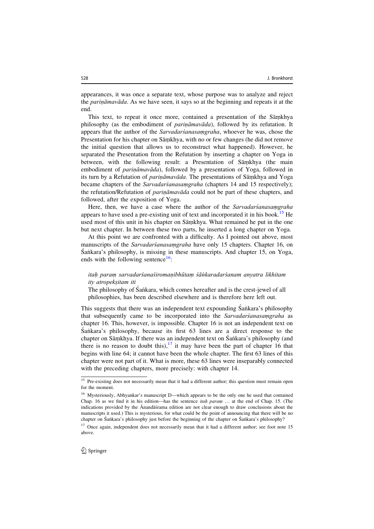appearances, it was once a separate text, whose purpose was to analyze and reject the pariṇāmavāda. As we have seen, it says so at the beginning and repeats it at the end.

This text, to repeat it once more, contained a presentation of the Samkhya philosophy (as the embodiment of *parināmavāda*), followed by its refutation. It appears that the author of the Sarvadarśanasaṃgraha, whoever he was, chose the Presentation for his chapter on Sāmkhya, with no or few changes (he did not remove the initial question that allows us to reconstruct what happened). However, he separated the Presentation from the Refutation by inserting a chapter on Yoga in between, with the following result: a Presentation of Samkhya (the main embodiment of *parināmavāda*), followed by a presentation of Yoga, followed in its turn by a Refutation of *pariṇāmavāda*. The presentations of Sāṃkhya and Yoga became chapters of the Sarvadarsanasamgraha (chapters 14 and 15 respectively); the refutation/Refutation of *parināmavāda* could not be part of these chapters, and followed, after the exposition of Yoga.

Here, then, we have a case where the author of the Sarvadarsanasamgraha appears to have used a pre-existing unit of text and incorporated it in his book.<sup>15</sup> He used most of this unit in his chapter on Samkhya. What remained he put in the one but next chapter. In between these two parts, he inserted a long chapter on Yoga.

At this point we are confronted with a difficulty. As I pointed out above, most manuscripts of the *Sarvadarśanasamgraha* have only 15 chapters. Chapter 16, on S´aṅkara's philosophy, is missing in these manuscripts. And chapter 15, on Yoga, ends with the following sentence  $16$ :

## itaḥ paraṃ sarvadarśanaśiromaṇibhūtaṃ śāṅkaradarśanam anyatra likhitam ity atropekṣitam iti

The philosophy of Saṅkara, which comes hereafter and is the crest-jewel of all philosophies, has been described elsewhere and is therefore here left out.

This suggests that there was an independent text expounding Sañkara's philosophy that subsequently came to be incorporated into the *Sarvadarsanasamgraha* as chapter 16. This, however, is impossible. Chapter 16 is not an independent text on Sankara's philosophy, because its first 63 lines are a direct response to the chapter on Sāṃkhya. If there was an independent text on Śaṅkara's philosophy (and there is no reason to doubt this), $17$  it may have been the part of chapter 16 that begins with line 64; it cannot have been the whole chapter. The first 63 lines of this chapter were not part of it. What is more, these 63 lines were inseparably connected with the preceding chapters, more precisely: with chapter 14.

<sup>&</sup>lt;sup>15</sup> Pre-existing does not necessarily mean that it had a different author; this question must remain open for the moment.

<sup>16</sup> Mysteriously, Abhyankar's manuscript D—which appears to be the only one he used that contained Chap. 16 as we find it in his edition—has the sentence *itah param ...* at the end of Chap. 15. (The indications provided by the Anandas´rama edition are not clear enough to draw conclusions about the manuscripts it used.) This is mysterious, for what could be the point of announcing that there will be no chapter on Śaṅkara's philosophy just before the beginning of the chapter on Śaṅkara's philosophy?

<sup>&</sup>lt;sup>17</sup> Once again, independent does not necessarily mean that it had a different author; see foot note 15 above.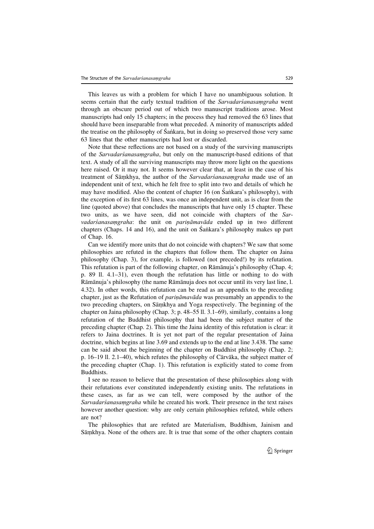This leaves us with a problem for which I have no unambiguous solution. It seems certain that the early textual tradition of the *Sarvadarsanasamgraha* went through an obscure period out of which two manuscript traditions arose. Most manuscripts had only 15 chapters; in the process they had removed the 63 lines that should have been inseparable from what preceded. A minority of manuscripts added the treatise on the philosophy of Sañkara, but in doing so preserved those very same 63 lines that the other manuscripts had lost or discarded.

Note that these reflections are not based on a study of the surviving manuscripts of the Sarvadarśanasaṃgraha, but only on the manuscript-based editions of that text. A study of all the surviving manuscripts may throw more light on the questions here raised. Or it may not. It seems however clear that, at least in the case of his treatment of Sāmkhya, the author of the *Sarvadarśanasamgraha* made use of an independent unit of text, which he felt free to split into two and details of which he may have modified. Also the content of chapter 16 (on Sankara's philosophy), with the exception of its first 63 lines, was once an independent unit, as is clear from the line (quoted above) that concludes the manuscripts that have only 15 chapter. These two units, as we have seen, did not coincide with chapters of the Sarvadarśanasamgraha: the unit on parināmavāda ended up in two different chapters (Chaps. 14 and 16), and the unit on Śaṅkara's philosophy makes up part of Chap. 16.

Can we identify more units that do not coincide with chapters? We saw that some philosophies are refuted in the chapters that follow them. The chapter on Jaina philosophy (Chap. 3), for example, is followed (not preceded!) by its refutation. This refutation is part of the following chapter, on Ramanuja's philosophy (Chap. 4; p. 89 ll. 4.1–31), even though the refutation has little or nothing to do with Rāmānuja's philosophy (the name Rāmānuja does not occur until its very last line, l. 4.32). In other words, this refutation can be read as an appendix to the preceding chapter, just as the Refutation of *parināmavāda* was presumably an appendix to the two preceding chapters, on Sāṃkhya and Yoga respectively. The beginning of the chapter on Jaina philosophy (Chap. 3; p. 48–55 ll. 3.1–69), similarly, contains a long refutation of the Buddhist philosophy that had been the subject matter of the preceding chapter (Chap. 2). This time the Jaina identity of this refutation is clear: it refers to Jaina doctrines. It is yet not part of the regular presentation of Jaina doctrine, which begins at line 3.69 and extends up to the end at line 3.438. The same can be said about the beginning of the chapter on Buddhist philosophy (Chap. 2; p.  $16-19$  ll.  $2.1-40$ ), which refutes the philosophy of Cārvāka, the subject matter of the preceding chapter (Chap. 1). This refutation is explicitly stated to come from Buddhists.

I see no reason to believe that the presentation of these philosophies along with their refutations ever constituted independently existing units. The refutations in these cases, as far as we can tell, were composed by the author of the Sarvadarśanasaṃgraha while he created his work. Their presence in the text raises however another question: why are only certain philosophies refuted, while others are not?

The philosophies that are refuted are Materialism, Buddhism, Jainism and Sāmkhya. None of the others are. It is true that some of the other chapters contain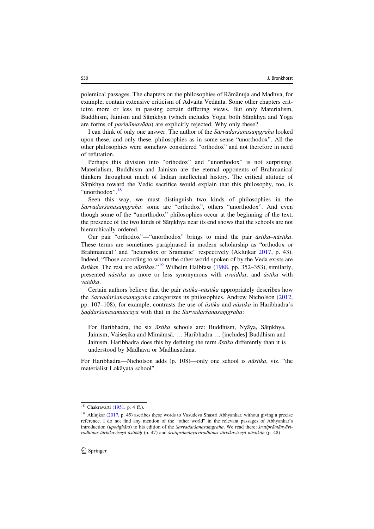polemical passages. The chapters on the philosophies of Ramanuja and Madhva, for example, contain extensive criticism of Advaita Vedanta. Some other chapters criticize more or less in passing certain differing views. But only Materialism, Buddhism, Jainism and Sāmkhya (which includes Yoga; both Sāmkhya and Yoga are forms of *parināmavāda*) are explicitly rejected. Why only these?

I can think of only one answer. The author of the Sarvadarśanasaṃgraha looked upon these, and only these, philosophies as in some sense "unorthodox". All the other philosophies were somehow considered "orthodox" and not therefore in need of refutation.

Perhaps this division into "orthodox" and "unorthodox" is not surprising. Materialism, Buddhism and Jainism are the eternal opponents of Brahmanical thinkers throughout much of Indian intellectual history. The critical attitude of Sāmkhya toward the Vedic sacrifice would explain that this philosophy, too, is "unorthodox".<sup>18</sup>

Seen this way, we must distinguish two kinds of philosophies in the Sarvadarśanasaṃgraha: some are "orthodox", others "unorthodox". And even though some of the "unorthodox" philosophies occur at the beginning of the text, the presence of the two kinds of Samkhya near its end shows that the schools are not hierarchically ordered.

Our pair "orthodox"—"unorthodox" brings to mind the pair āstika–nāstika. These terms are sometimes paraphrased in modern scholarship as "orthodox or Brahmanical" and "heterodox or Sramanic" respectively (Aklujkar 2017, p. 43). Indeed, "Those according to whom the other world spoken of by the Veda exists are  $\bar{a}$ stikas. The rest are n $\bar{a}$ stikas."<sup>19</sup> Wilhelm Halbfass (1988, pp. 352–353), similarly, presented nāstika as more or less synonymous with avaidika, and āstika with vaidika.

Certain authors believe that the pair āstika–nāstika appropriately describes how the Sarvadarśanasaṃgraha categorizes its philosophies. Andrew Nicholson (2012, pp. 107–108), for example, contrasts the use of āstika and nāstika in Haribhadra's Ṣaḍdarśanasamuccaya with that in the Sarvadarśanasaṃgraha:

For Haribhadra, the six āstika schools are: Buddhism, Nyāya, Sāṃkhya, Jainism, Vaisesika and Mīmāmsā. … Haribhadra … [includes] Buddhism and Jainism. Haribhadra does this by defining the term āstika differently than it is understood by Mādhava or Madhusūdana.

For Haribhadra—Nicholson adds (p. 108)—only one school is nāstika, viz. "the materialist Lokāvata school".

<sup>18</sup> Chakravarti (1951, p. 4 ff.).

<sup>&</sup>lt;sup>19</sup> Aklujkar (2017, p. 45) ascribes these words to Vasudeva Shastri Abhyankar, without giving a precise reference. I do not find any mention of the "other world" in the relevant passages of Abhyankar's introduction (upodghāta) to his edition of the Sarvadarśanasamgraha. We read there: śrutiprāmāṇyāvirodhinas tārkikaviśeṣā āstikāḥ (p. 47) and śrutiprāmāṇyavirodhinas tārkikaviśeṣā nāstikāḥ (p. 48)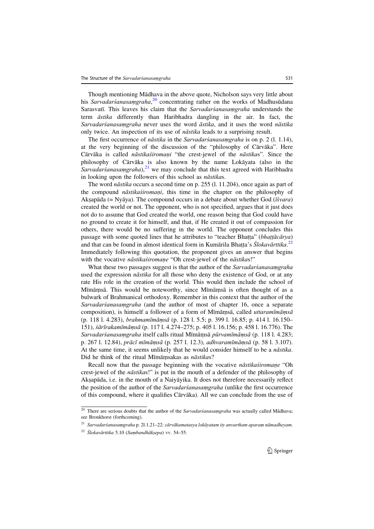Though mentioning Mādhava in the above quote, Nicholson says very little about his Sarvadarśanasamgraha,<sup>20</sup> concentrating rather on the works of Madhusudana Sarasvatī. This leaves his claim that the Sarvadarśanasamgraha understands the term āstika differently than Haribhadra dangling in the air. In fact, the Sarvadarśanasaṃgraha never uses the word āstika, and it uses the word nāstika only twice. An inspection of its use of *nāstika* leads to a surprising result.

The first occurrence of *nāstika* in the *Sarvadarśanasamgraha* is on p. 2 (1, 1,14), at the very beginning of the discussion of the "philosophy of Cārvāka". Here Cārvāka is called nāstikaśiromaņi "the crest-jewel of the nāstikas". Since the philosophy of Cārvāka is also known by the name Lokāyata (also in the Sarvadarśanasaṃgraha), $^{21}$  we may conclude that this text agreed with Haribhadra in looking upon the followers of this school as nāstikas.

The word nāstika occurs a second time on p. 255 (l. 11.204), once again as part of the compound *nāstikaśiromani*, this time in the chapter on the philosophy of Akṣapāda (= Nyāya). The compound occurs in a debate about whether God ( $\vec{ts}$ vara) created the world or not. The opponent, who is not specified, argues that it just does not do to assume that God created the world, one reason being that God could have no ground to create it for himself, and that, if He created it out of compassion for others, there would be no suffering in the world. The opponent concludes this passage with some quoted lines that he attributes to "teacher Bhatta" (*bhattācārya*)<br>and that can be found in almost identical form in Kumārila Bhatta's *Slokavārttika*.<sup>22</sup> and that can be found in almost identical form in Kumārila Bhatta's *Ślokavārttika*.<sup>22</sup><br>Immediately following this quotation, the proponent gives an answer that begins Immediately following this quotation, the proponent gives an answer that begins with the vocative nāstikaśiromaṇe "Oh crest-jewel of the nāstikas!"

What these two passages suggest is that the author of the Sarvadarsanasamgraha used the expression *nāstika* for all those who deny the existence of God, or at any rate His role in the creation of the world. This would then include the school of Mīmāmsā. This would be noteworthy, since Mīmāmsā is often thought of as a bulwark of Brahmanical orthodoxy. Remember in this context that the author of the Sarvadarśanasaṃgraha (and the author of most of chapter 16, once a separate composition), is himself a follower of a form of Mīmāmsā, called uttaramīmāmsā (p. 118 l. 4.283), brahmamīmāṃsā (p. 128 l. 5.5; p. 399 l. 16.85; p. 414 l. 16.150– 151), śārīrakamīmāṃsā (p. 117 l. 4.274–275; p. 405 l. 16.156; p. 458 l. 16.776). The Sarvadarśanasamgraha itself calls ritual Mīmāmsā pūrvamīmāmsā (p. 118 l. 4.283; p. 267 l. 12.84), prācī mīmāṃsā (p. 257 l. 12.3), adhvaramīmāṃsā (p. 58 l. 3.107). At the same time, it seems unlikely that he would consider himself to be a nāstika. Did he think of the ritual Mīmāmsakas as nāstikas?

Recall now that the passage beginning with the vocative *nāstikaśiromane* "Oh crest-jewel of the nāstikas!" is put in the mouth of a defender of the philosophy of Akṣapāda, i.e. in the mouth of a Naiyāyika. It does not therefore necessarily reflect the position of the author of the Sarvadarsanasamgraha (unlike the first occurrence of this compound, where it qualifies Cārvāka). All we can conclude from the use of

 $\overline{20}$  There are serious doubts that the author of the Sarvadarśanasaṃgraha was actually called Mādhava; see Bronkhorst (forthcoming).

<sup>21</sup> Sarvadarśanasaṃgraha p. 2l.1.21–22: cārvākamatasya lokāyatam ity anvartham aparaṃ nāmadheyam.

 $22$  Ślokavārttika 5.10 (Sambandhāksepa) vv. 54–55.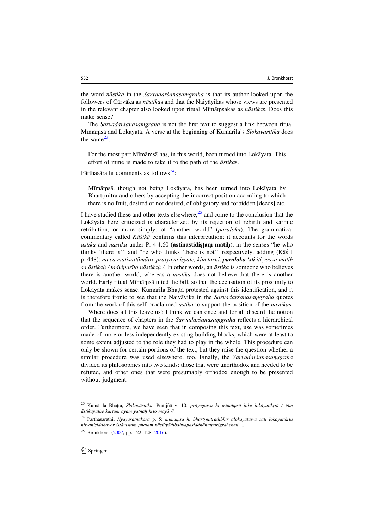the word *nāstika* in the *Sarvadarsanasamgraha* is that its author looked upon the followers of Cārvāka as *nāstikas* and that the Naiya yikas whose views are presented in the relevant chapter also looked upon ritual Mīmāmsakas as nāstikas. Does this make sense?

The Sarvadarśanasaṃgraha is not the first text to suggest a link between ritual Mīmāmsā and Lokāyata. A verse at the beginning of Kumārila's Ślokavārttika does the same $^{23}$ :

For the most part Mīmāṃsā has, in this world, been turned into Lokāyata. This effort of mine is made to take it to the path of the *āstikas*.

Pārthasārathi comments as follows<sup>24</sup>:

Mīmāṃsā, though not being Lokāyata, has been turned into Lokāyata by Bhartrmitra and others by accepting the incorrect position according to which there is no fruit, desired or not desired, of obligatory and forbidden [deeds] etc.

I have studied these and other texts elsewhere, $2<sup>5</sup>$  and come to the conclusion that the Lokayata here criticized is characterized by its rejection of rebirth and karmic retribution, or more simply: of "another world" (paraloka). The grammatical commentary called Kāśikā confirms this interpretation; it accounts for the words  $\bar{a}$ stika and n $\bar{a}$ stika under P. 4.4.60 (astināstidistam matih), in the senses "he who thinks 'there is'" and "he who thinks 'there is not" respectively, adding (K $\bar{a}\bar{s}$  I p. 448): na ca matisattāmātre pratyaya işyate, kim tarhi, **paraloko 'sti** iti yasya matih sa āstikah / tadviparīto nāstikah /. In other words, an āstika is someone who believes there is another world, whereas a *nāstika* does not believe that there is another world. Early ritual Mīmāmsā fitted the bill, so that the accusation of its proximity to Lokāyata makes sense. Kumārila Bhatta protested against this identification, and it<br>is therefore ironic to see that the Naivāvika in the *Sanyadarsangsamaraka* guotes Ecolayala makes sense. Hamarna Ena<sub>it</sub>a protested against ans Renainvalusity, and it from the work of this self-proclaimed āstika to support the position of the nāstikas.

Where does all this leave us? I think we can once and for all discard the notion that the sequence of chapters in the *Sarvadarsanasamgraha* reflects a hierarchical order. Furthermore, we have seen that in composing this text, use was sometimes made of more or less independently existing building blocks, which were at least to some extent adjusted to the role they had to play in the whole. This procedure can only be shown for certain portions of the text, but they raise the question whether a similar procedure was used elsewhere, too. Finally, the Sarvadarsanasamgraha divided its philosophies into two kinds: those that were unorthodox and needed to be refuted, and other ones that were presumably orthodox enough to be presented without judgment.

 $^{23}$  Kumārila Bhaṭṭa, Ślokavārttika, Pratijñā v. 10: prāyeṇaiva hi mīmāṃsā loke lokāyatīkṛtā / tām<br>āstikapatha kartum avam vatnah krto mavā // ˙ āstikapathe kartum ayaṃ yatnaḥ kṛto mayā //.

 $^{24}$  Pārthasārathi, Nyāyaratnākara p. 5: mīmāṃsā hi bhartṛmitrādibhir alokāyataiva satī lokāyatīkṛtā nityanisiddhayor istānistam phalam nāstītyādibahvapasiddhāntaparigraheneti ….

<sup>&</sup>lt;sup>25</sup> Bronkhorst (2007, pp. 122–128; 2016).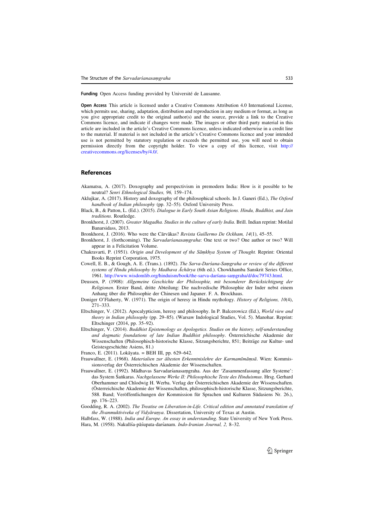Funding Open Access funding provided by Université de Lausanne.

Open Access This article is licensed under a Creative Commons Attribution 4.0 International License, which permits use, sharing, adaptation, distribution and reproduction in any medium or format, as long as you give appropriate credit to the original author(s) and the source, provide a link to the Creative Commons licence, and indicate if changes were made. The images or other third party material in this article are included in the article's Creative Commons licence, unless indicated otherwise in a credit line to the material. If material is not included in the article's Creative Commons licence and your intended use is not permitted by statutory regulation or exceeds the permitted use, you will need to obtain permission directly from the copyright holder. To view a copy of this licence, visit [http://](http://creativecommons.org/licenses/by/4.0/) [creativecommons.org/licenses/by/4.0/.](http://creativecommons.org/licenses/by/4.0/)

## **References**

- Akamatsu, A. (2017). Doxography and perspectivism in premodern India: How is it possible to be neutral? Senri Ethnological Studies, 96, 159–174.
- Aklujkar, A. (2017). History and doxography of the philosophical schools. In J. Ganeri (Ed.), The Oxford handbook of Indian philosophy (pp. 32–55). Oxford University Press.
- Black, B., & Patton, L. (Ed.). (2015). Dialogue in Early South Asian Religions. Hindu, Buddhist, and Jain traditions. Routledge.
- Bronkhorst, J. (2007). Greater Magadha. Studies in the culture of early India. Brill. Indian reprint: Motilal Banarsidass, 2013.
- Bronkhorst, J. (2016). Who were the Cārvākas? Revista Guillermo De Ockham, 14(1), 45–55.
- Bronkhorst, J. (forthcoming). The *Sarvadarsangraha:* One text or two? One author or two? Will appear in a Felicitation Volume.
- Chakravarti, P. (1951). Origin and Development of the Sāṃkhya System of Thought. Reprint: Oriental Books Reprint Corporation, 1975.
- Cowell, E. B., & Gough, A. E. (Trans.). (1892). The Sarva-Darśana-Saṃgraha or review of the different systems of Hindu philosophy by Madhava Āchārya (6th ed.). Chowkhamba Sanskrit Series Office, 1961. [http://www.wisdomlib.org/hinduism/book/the-sarva-dars´ana-sa](http://www.wisdomlib.org/hinduism/book/the-sarva-dar%c5%9bana-sa%e1%b9%83graha/d/doc79743.html)ṃgraha/d/doc79743.html.
- Deussen, P. (1908): Allgemeine Geschichte der Philosophie, mit besonderer Berücksichtigung der Religionen. Erster Band, dritte Abteilung: Die nachvedische Philosophie der Inder nebst einem Anhang über die Philosophie der Chinesen und Japaner. F. A. Brockhaus.
- Doniger O'Flaherty, W. (1971). The origin of heresy in Hindu mythology. History of Religions, 10(4), 271–333.
- Eltschinger, V. (2012). Apocalypticism, heresy and philosophy. In P. Balcerowicz (Ed.), World view and theory in Indian philosophy (pp. 29–85). (Warsaw Indological Studies, Vol. 5). Manohar. Reprint: Eltschinger (2014, pp. 35–92).
- Eltschinger, V. (2014). Buddhist Epistemology as Apologetics. Studies on the history, self-understanding and dogmatic foundations of late Indian Buddhist philosophy. Österreichische Akademie der Wissenschaften (Philosophisch-historische Klasse, Sitzungsberichte, 851; Beiträge zur Kultur- und Geistesgeschichte Asiens, 81.)
- Franco, E. (2011). Lokāyata. = BEH III, pp. 629-642.
- Frauwallner, E. (1968). Materialien zur ältesten Erkenntnislehre der Karmamīmāṃsā. Wien: Kommissionsverlag der Österreichischen Akademie der Wissenschaften.
- Frauwallner, E. (1992). Mādhavas Sarvadars´anasaṃgraha. Aus der 'Zusammenfassung aller Systeme': das System Śaṅkaras. Nachgelassene Werke II: Philosophische Texte des Hinduismus. Hrsg. Gerhard Oberhammer und Chlodwig H. Werba. Verlag der O¨sterreichischen Akademie der Wissenschaften. (O¨sterreichische Akademie der Wissenschaften, philosophisch-historische Klasse, Sitzungsberichte, 588. Band; Veröffentlichungen der Kommission für Sprachen und Kulturen Südasiens Nr. 26.), pp. 176–223.
- Goodding, R. A. (2002). The Treatise on Liberation-in-Life. Critical edition and annotated translation of the Jīvanmuktiviveka of Vidyāraṇya. Dissertation, University of Texas at Austin.
- Halbfass, W. (1988). India and Europe. An essay in understanding. State University of New York Press. Hara, M. (1958). Nakulīśa-pāśupata-darśanam. Indo-Iranian Journal, 2, 8–32.